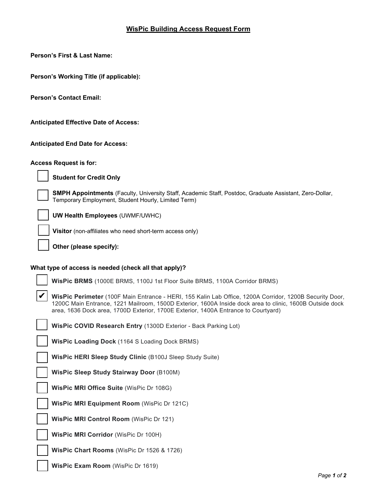## **WisPic Building Access Request Form**

**Person's First & Last Name:** 

**Person's Working Title (if applicable):** 

**Person's Contact Email:**

**Anticipated Effective Date of Access:** 

**Anticipated End Date for Access:** 

**Access Request is for:** 



✔

**Student for Credit Only** 

**SMPH Appointments** (Faculty, University Staff, Academic Staff, Postdoc, Graduate Assistant, Zero-Dollar, Temporary Employment, Student Hourly, Limited Term)

**UW Health Employees** (UWMF/UWHC)

**Visitor** (non-affiliates who need short-term access only)

**Other (please specify):** 

## **What type of access is needed (check all that apply)?**

**WisPic BRMS** (1000E BRMS, 1100J 1st Floor Suite BRMS, 1100A Corridor BRMS)

**WisPic Perimeter** (100F Main Entrance - HERI, 155 Kalin Lab Office, 1200A Corridor, 1200B Security Door, 1200C Main Entrance, 1221 Mailroom, 1500D Exterior, 1600A Inside dock area to clinic, 1600B Outside dock area, 1636 Dock area, 1700D Exterior, 1700E Exterior, 1400A Entrance to Courtyard)

**WisPic COVID Research Entry** (1300D Exterior - Back Parking Lot)

**WisPic Loading Dock** (1164 S Loading Dock BRMS)

**WisPic HERI Sleep Study Clinic** (B100J Sleep Study Suite)

**WisPic Sleep Study Stairway Door** (B100M)

**WisPic MRI Office Suite** (WisPic Dr 108G)

**WisPic MRI Equipment Room** (WisPic Dr 121C)

**WisPic MRI Control Room** (WisPic Dr 121)

**WisPic MRI Corridor** (WisPic Dr 100H)

**WisPic Chart Rooms** (WisPic Dr 1526 & 1726)

**WisPic Exam Room** (WisPic Dr 1619)